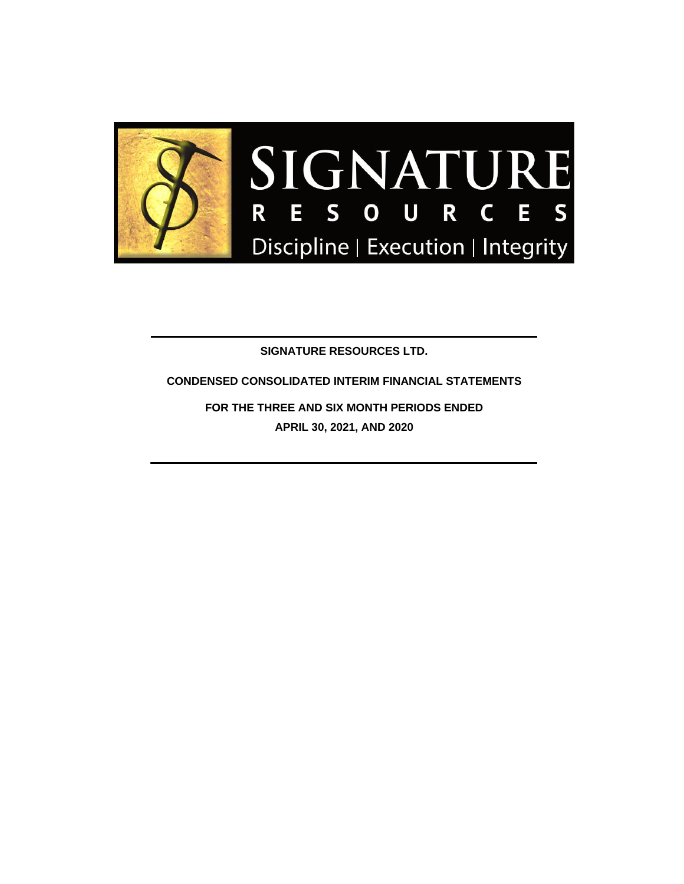

**SIGNATURE RESOURCES LTD.**

**CONDENSED CONSOLIDATED INTERIM FINANCIAL STATEMENTS**

**FOR THE THREE AND SIX MONTH PERIODS ENDED APRIL 30, 2021, AND 2020**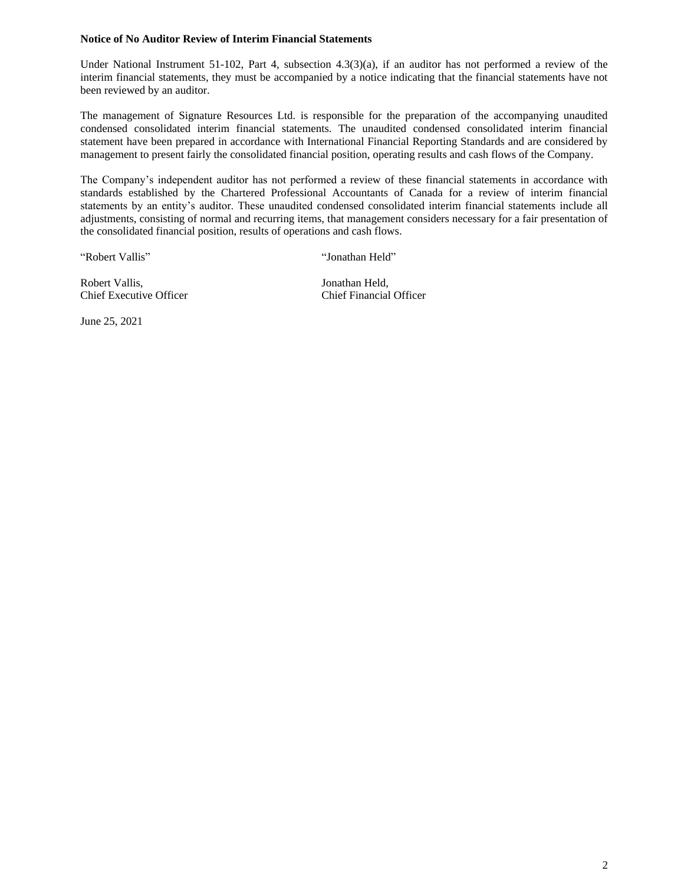#### **Notice of No Auditor Review of Interim Financial Statements**

Under National Instrument 51-102, Part 4, subsection 4.3(3)(a), if an auditor has not performed a review of the interim financial statements, they must be accompanied by a notice indicating that the financial statements have not been reviewed by an auditor.

The management of Signature Resources Ltd. is responsible for the preparation of the accompanying unaudited condensed consolidated interim financial statements. The unaudited condensed consolidated interim financial statement have been prepared in accordance with International Financial Reporting Standards and are considered by management to present fairly the consolidated financial position, operating results and cash flows of the Company.

The Company's independent auditor has not performed a review of these financial statements in accordance with standards established by the Chartered Professional Accountants of Canada for a review of interim financial statements by an entity's auditor. These unaudited condensed consolidated interim financial statements include all adjustments, consisting of normal and recurring items, that management considers necessary for a fair presentation of the consolidated financial position, results of operations and cash flows.

"Robert Vallis" "Jonathan Held"

Robert Vallis, Jonathan Held, Chief Executive Officer Chief Financial Officer

June 25, 2021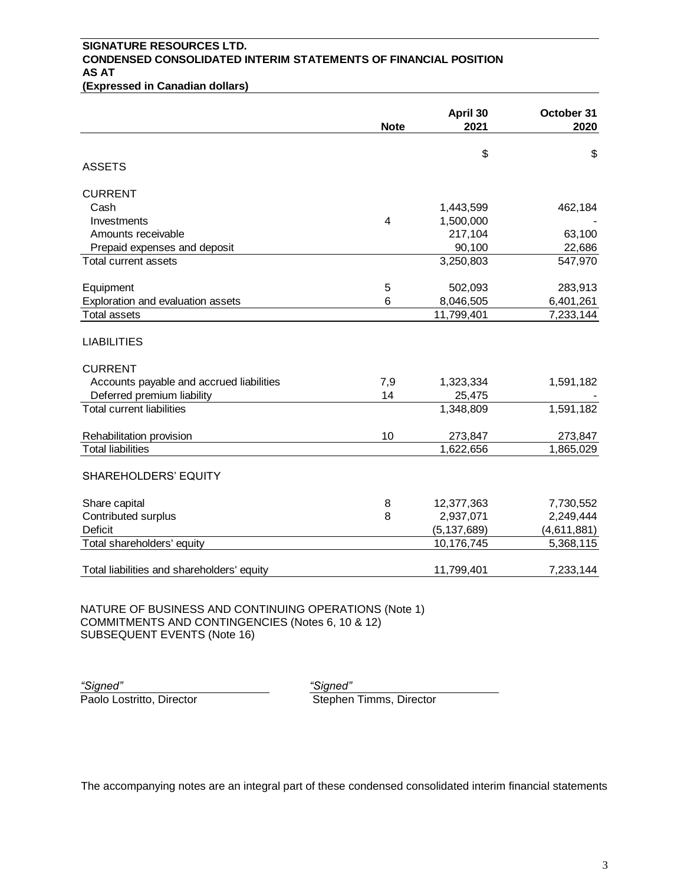## **SIGNATURE RESOURCES LTD. CONDENSED CONSOLIDATED INTERIM STATEMENTS OF FINANCIAL POSITION AS AT**

**(Expressed in Canadian dollars)**

|                                                                                  | <b>Note</b>    | April 30<br>2021 | October 31<br>2020 |
|----------------------------------------------------------------------------------|----------------|------------------|--------------------|
|                                                                                  |                | \$               | \$                 |
| <b>ASSETS</b>                                                                    |                |                  |                    |
| <b>CURRENT</b>                                                                   |                |                  |                    |
| Cash                                                                             |                | 1,443,599        | 462,184            |
| Investments                                                                      | $\overline{4}$ | 1,500,000        |                    |
| Amounts receivable                                                               |                | 217,104          | 63,100             |
| Prepaid expenses and deposit                                                     |                | 90,100           | 22,686             |
| Total current assets                                                             |                | 3,250,803        | 547,970            |
| Equipment                                                                        | 5              | 502,093          | 283,913            |
| Exploration and evaluation assets                                                | 6              | 8,046,505        | 6,401,261          |
| <b>Total assets</b>                                                              |                | 11,799,401       | 7,233,144          |
| <b>LIABILITIES</b><br><b>CURRENT</b><br>Accounts payable and accrued liabilities | 7,9            | 1,323,334        | 1,591,182          |
| Deferred premium liability                                                       | 14             | 25,475           |                    |
| <b>Total current liabilities</b>                                                 |                | 1,348,809        | 1,591,182          |
| Rehabilitation provision                                                         | 10             | 273,847          | 273,847            |
| <b>Total liabilities</b>                                                         |                | 1,622,656        | 1,865,029          |
| <b>SHAREHOLDERS' EQUITY</b>                                                      |                |                  |                    |
| Share capital                                                                    | 8              | 12,377,363       | 7,730,552          |
| Contributed surplus                                                              | 8              | 2,937,071        | 2,249,444          |
| Deficit                                                                          |                | (5, 137, 689)    | (4,611,881)        |
| Total shareholders' equity                                                       |                | 10,176,745       | 5,368,115          |
| Total liabilities and shareholders' equity                                       |                | 11,799,401       | 7,233,144          |

NATURE OF BUSINESS AND CONTINUING OPERATIONS (Note 1) COMMITMENTS AND CONTINGENCIES (Notes 6, 10 & 12) SUBSEQUENT EVENTS (Note 16)

*"Signed" "Signed"*

Paolo Lostritto, Director **Stephen Timms, Director**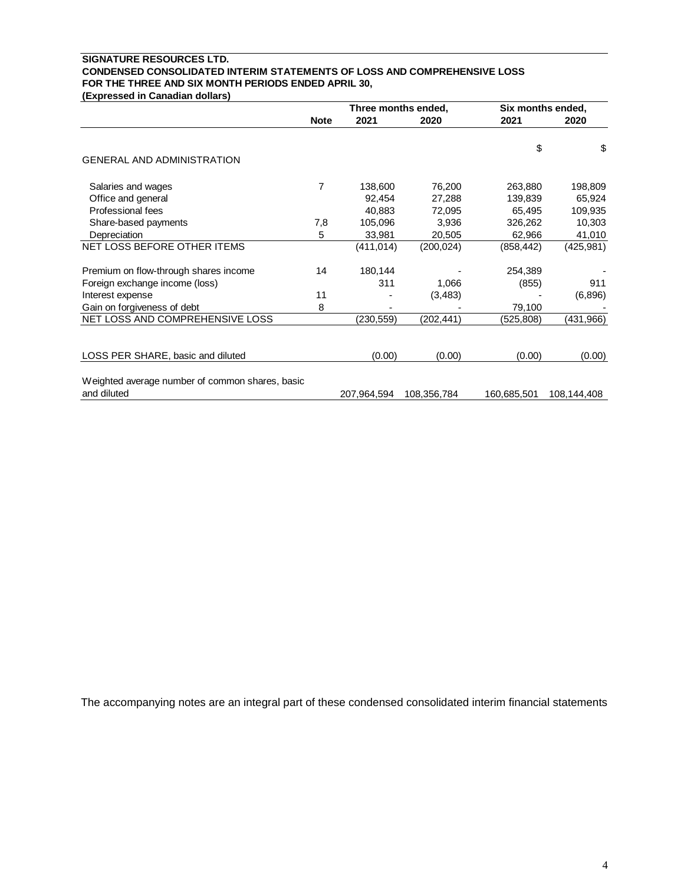#### **SIGNATURE RESOURCES LTD. CONDENSED CONSOLIDATED INTERIM STATEMENTS OF LOSS AND COMPREHENSIVE LOSS FOR THE THREE AND SIX MONTH PERIODS ENDED APRIL 30, (Expressed in Canadian dollars)**

|                                                                | Three months ended, |             | Six months ended, |             |             |
|----------------------------------------------------------------|---------------------|-------------|-------------------|-------------|-------------|
|                                                                | <b>Note</b>         | 2021        | 2020              | 2021        | 2020        |
| <b>GENERAL AND ADMINISTRATION</b>                              |                     |             |                   | \$          | \$          |
|                                                                |                     |             |                   |             |             |
| Salaries and wages                                             | 7                   | 138,600     | 76,200            | 263,880     | 198,809     |
| Office and general                                             |                     | 92,454      | 27,288            | 139,839     | 65,924      |
| Professional fees                                              |                     | 40,883      | 72,095            | 65,495      | 109,935     |
| Share-based payments                                           | 7,8                 | 105,096     | 3,936             | 326,262     | 10,303      |
| Depreciation                                                   | 5                   | 33,981      | 20,505            | 62,966      | 41,010      |
| NET LOSS BEFORE OTHER ITEMS                                    |                     | (411,014)   | (200, 024)        | (858, 442)  | (425, 981)  |
| Premium on flow-through shares income                          | 14                  | 180,144     |                   | 254,389     |             |
| Foreign exchange income (loss)                                 |                     | 311         | 1,066             | (855)       | 911         |
| Interest expense                                               | 11                  |             | (3,483)           |             | (6,896)     |
| Gain on forgiveness of debt                                    | 8                   |             |                   | 79,100      |             |
| NET LOSS AND COMPREHENSIVE LOSS                                |                     | (230,559)   | (202,441)         | (525,808)   | (431,966)   |
|                                                                |                     |             |                   |             |             |
| LOSS PER SHARE, basic and diluted                              |                     | (0.00)      | (0.00)            | (0.00)      | (0.00)      |
| Weighted average number of common shares, basic<br>and diluted |                     | 207,964,594 | 108,356,784       | 160,685,501 | 108,144,408 |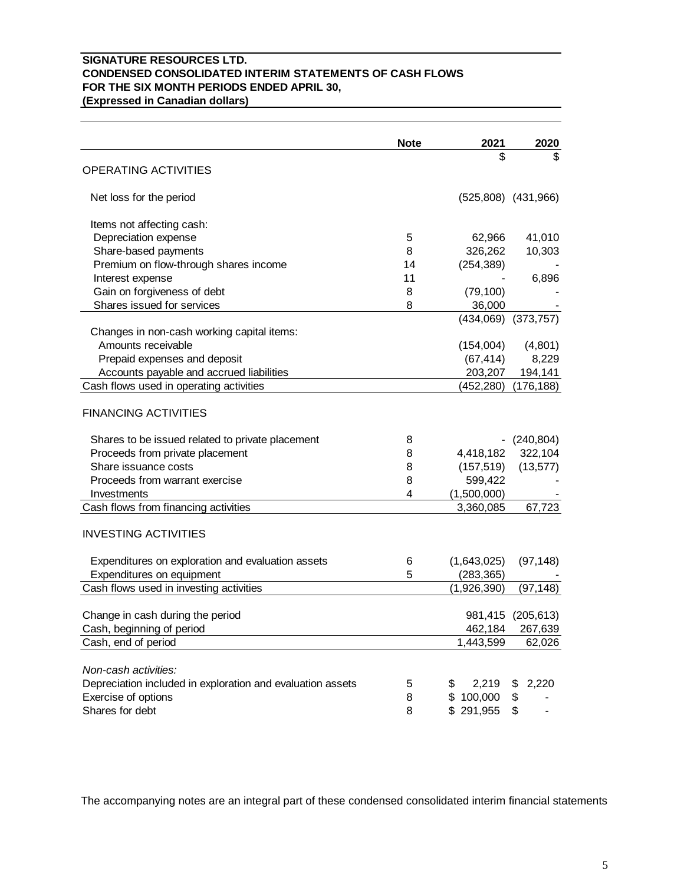## **SIGNATURE RESOURCES LTD. CONDENSED CONSOLIDATED INTERIM STATEMENTS OF CASH FLOWS FOR THE SIX MONTH PERIODS ENDED APRIL 30, (Expressed in Canadian dollars)**

|                                                                  | <b>Note</b> | 2021        | 2020                    |
|------------------------------------------------------------------|-------------|-------------|-------------------------|
|                                                                  |             | \$          | \$                      |
| <b>OPERATING ACTIVITIES</b>                                      |             |             |                         |
| Net loss for the period                                          |             |             | $(525,808)$ $(431,966)$ |
|                                                                  |             |             |                         |
| Items not affecting cash:                                        |             |             |                         |
| Depreciation expense                                             | 5           | 62,966      | 41,010                  |
| Share-based payments                                             | 8           | 326,262     | 10,303                  |
| Premium on flow-through shares income                            | 14          | (254, 389)  |                         |
| Interest expense                                                 | 11          |             | 6,896                   |
| Gain on forgiveness of debt                                      | 8           | (79, 100)   |                         |
| Shares issued for services                                       | 8           | 36,000      |                         |
|                                                                  |             |             | $(434,069)$ $(373,757)$ |
| Changes in non-cash working capital items:<br>Amounts receivable |             |             |                         |
|                                                                  |             | (154,004)   | (4,801)                 |
| Prepaid expenses and deposit                                     |             | (67, 414)   | 8,229                   |
| Accounts payable and accrued liabilities                         |             | 203,207     | 194,141                 |
| Cash flows used in operating activities                          |             | (452,280)   | (176, 188)              |
| <b>FINANCING ACTIVITIES</b>                                      |             |             |                         |
| Shares to be issued related to private placement                 | 8           |             | (240, 804)              |
| Proceeds from private placement                                  | 8           | 4,418,182   | 322,104                 |
| Share issuance costs                                             | 8           | (157, 519)  | (13, 577)               |
| Proceeds from warrant exercise                                   | 8           | 599,422     |                         |
| Investments                                                      | 4           | (1,500,000) |                         |
| Cash flows from financing activities                             |             | 3,360,085   | 67,723                  |
| <b>INVESTING ACTIVITIES</b>                                      |             |             |                         |
| Expenditures on exploration and evaluation assets                | 6           | (1,643,025) | (97, 148)               |
| Expenditures on equipment                                        | 5           | (283, 365)  |                         |
| Cash flows used in investing activities                          |             | (1,926,390) | (97, 148)               |
| Change in cash during the period                                 |             |             | 981,415 (205,613)       |
| Cash, beginning of period                                        |             |             | 462,184 267,639         |
| Cash, end of period                                              |             | 1,443,599   | 62,026                  |
| Non-cash activities:                                             |             |             |                         |
| Depreciation included in exploration and evaluation assets       | 5           | 2,219<br>\$ | 2,220<br>\$             |
| Exercise of options                                              | 8           | \$100,000   | \$                      |
| Shares for debt                                                  | 8           | \$291,955   | \$                      |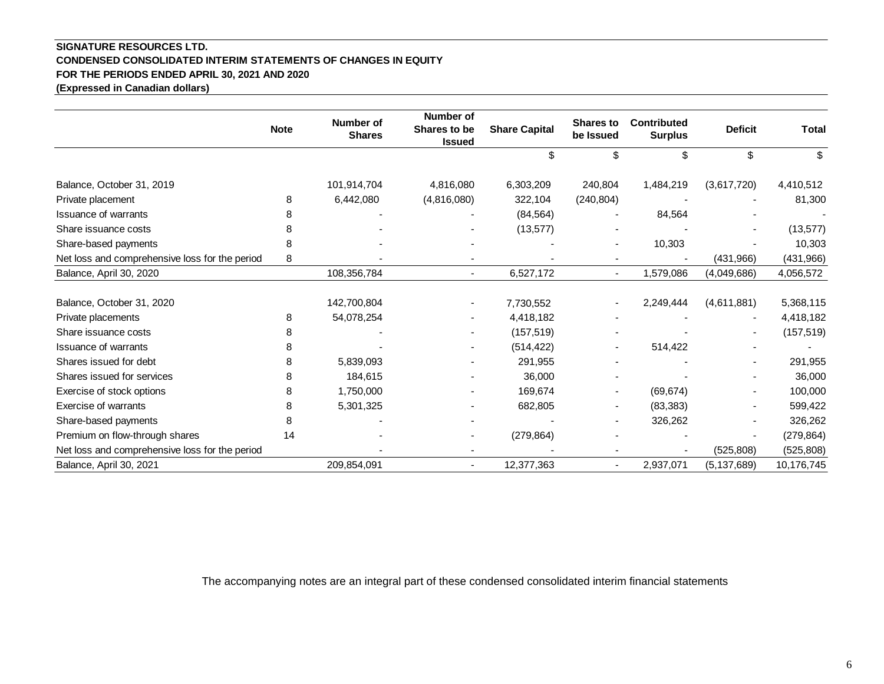## **SIGNATURE RESOURCES LTD. CONDENSED CONSOLIDATED INTERIM STATEMENTS OF CHANGES IN EQUITY FOR THE PERIODS ENDED APRIL 30, 2021 AND 2020 (Expressed in Canadian dollars)**

|                                                | <b>Note</b> | <b>Number of</b><br><b>Shares</b> | Number of<br>Shares to be<br><b>Issued</b> | <b>Share Capital</b> | <b>Shares to</b><br>be Issued | <b>Contributed</b><br><b>Surplus</b> | <b>Deficit</b> | <b>Total</b> |
|------------------------------------------------|-------------|-----------------------------------|--------------------------------------------|----------------------|-------------------------------|--------------------------------------|----------------|--------------|
|                                                |             |                                   |                                            | \$                   | \$                            | \$                                   | \$             | \$           |
| Balance, October 31, 2019                      |             | 101,914,704                       | 4,816,080                                  | 6,303,209            | 240,804                       | 1,484,219                            | (3,617,720)    | 4,410,512    |
| Private placement                              | 8           | 6,442,080                         | (4,816,080)                                | 322,104              | (240, 804)                    |                                      |                | 81,300       |
| <b>Issuance of warrants</b>                    |             |                                   |                                            | (84, 564)            |                               | 84,564                               |                |              |
| Share issuance costs                           | 8           |                                   |                                            | (13, 577)            |                               |                                      |                | (13, 577)    |
| Share-based payments                           | 8           |                                   |                                            |                      |                               | 10,303                               |                | 10,303       |
| Net loss and comprehensive loss for the period | 8           |                                   |                                            |                      |                               |                                      | (431,966)      | (431,966)    |
| Balance, April 30, 2020                        |             | 108,356,784                       | $\blacksquare$                             | 6,527,172            | $\sim$                        | 1,579,086                            | (4,049,686)    | 4,056,572    |
|                                                |             |                                   |                                            |                      |                               |                                      |                |              |
| Balance, October 31, 2020                      |             | 142,700,804                       | $\overline{\phantom{a}}$                   | 7,730,552            |                               | 2,249,444                            | (4,611,881)    | 5,368,115    |
| Private placements                             | 8           | 54,078,254                        | $\overline{\phantom{a}}$                   | 4,418,182            |                               |                                      |                | 4,418,182    |
| Share issuance costs                           | 8           |                                   |                                            | (157, 519)           |                               |                                      |                | (157, 519)   |
| <b>Issuance of warrants</b>                    | 8           |                                   |                                            | (514, 422)           |                               | 514,422                              |                |              |
| Shares issued for debt                         | 8           | 5,839,093                         |                                            | 291,955              |                               |                                      |                | 291,955      |
| Shares issued for services                     | 8           | 184,615                           |                                            | 36,000               |                               |                                      |                | 36,000       |
| Exercise of stock options                      | 8           | 1,750,000                         |                                            | 169,674              | $\blacksquare$                | (69, 674)                            |                | 100,000      |
| Exercise of warrants                           | 8           | 5,301,325                         |                                            | 682,805              | $\overline{\phantom{a}}$      | (83, 383)                            |                | 599,422      |
| Share-based payments                           | 8           |                                   |                                            |                      |                               | 326,262                              |                | 326,262      |
| Premium on flow-through shares                 | 14          |                                   | ۰                                          | (279, 864)           |                               |                                      |                | (279, 864)   |
| Net loss and comprehensive loss for the period |             |                                   |                                            |                      |                               |                                      | (525, 808)     | (525, 808)   |
| Balance, April 30, 2021                        |             | 209,854,091                       | $\overline{\phantom{a}}$                   | 12,377,363           | $\blacksquare$                | 2,937,071                            | (5, 137, 689)  | 10,176,745   |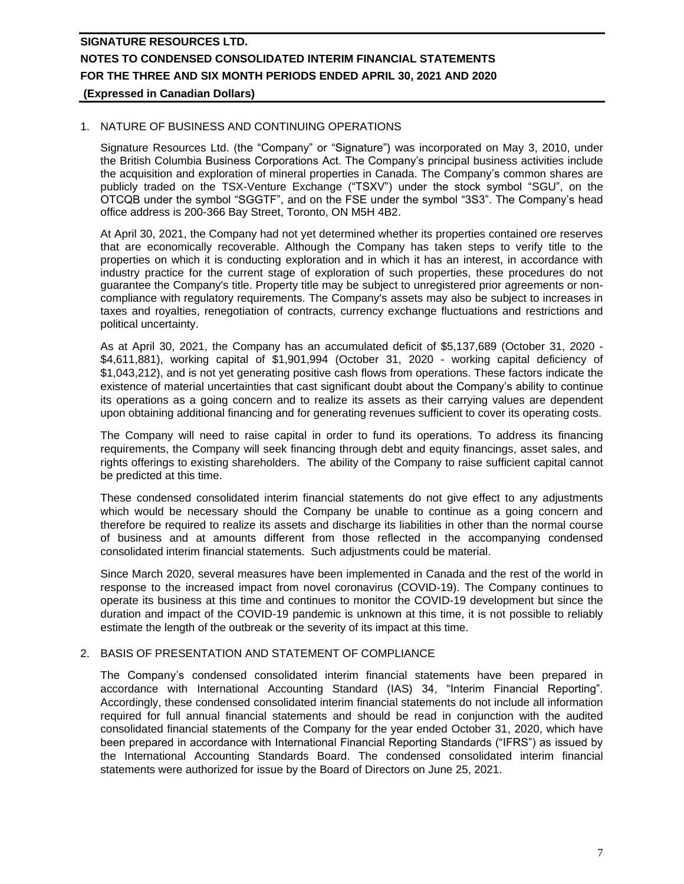## 1. NATURE OF BUSINESS AND CONTINUING OPERATIONS

Signature Resources Ltd. (the "Company" or "Signature") was incorporated on May 3, 2010, under the British Columbia Business Corporations Act. The Company's principal business activities include the acquisition and exploration of mineral properties in Canada. The Company's common shares are publicly traded on the TSX-Venture Exchange ("TSXV") under the stock symbol "SGU", on the OTCQB under the symbol "SGGTF", and on the FSE under the symbol "3S3". The Company's head office address is 200-366 Bay Street, Toronto, ON M5H 4B2.

At April 30, 2021, the Company had not yet determined whether its properties contained ore reserves that are economically recoverable. Although the Company has taken steps to verify title to the properties on which it is conducting exploration and in which it has an interest, in accordance with industry practice for the current stage of exploration of such properties, these procedures do not guarantee the Company's title. Property title may be subject to unregistered prior agreements or noncompliance with regulatory requirements. The Company's assets may also be subject to increases in taxes and royalties, renegotiation of contracts, currency exchange fluctuations and restrictions and political uncertainty.

As at April 30, 2021, the Company has an accumulated deficit of \$5,137,689 (October 31, 2020 - \$4,611,881), working capital of \$1,901,994 (October 31, 2020 - working capital deficiency of \$1,043,212), and is not yet generating positive cash flows from operations. These factors indicate the existence of material uncertainties that cast significant doubt about the Company's ability to continue its operations as a going concern and to realize its assets as their carrying values are dependent upon obtaining additional financing and for generating revenues sufficient to cover its operating costs.

The Company will need to raise capital in order to fund its operations. To address its financing requirements, the Company will seek financing through debt and equity financings, asset sales, and rights offerings to existing shareholders. The ability of the Company to raise sufficient capital cannot be predicted at this time.

These condensed consolidated interim financial statements do not give effect to any adjustments which would be necessary should the Company be unable to continue as a going concern and therefore be required to realize its assets and discharge its liabilities in other than the normal course of business and at amounts different from those reflected in the accompanying condensed consolidated interim financial statements. Such adjustments could be material.

Since March 2020, several measures have been implemented in Canada and the rest of the world in response to the increased impact from novel coronavirus (COVID-19). The Company continues to operate its business at this time and continues to monitor the COVID-19 development but since the duration and impact of the COVID-19 pandemic is unknown at this time, it is not possible to reliably estimate the length of the outbreak or the severity of its impact at this time.

## 2. BASIS OF PRESENTATION AND STATEMENT OF COMPLIANCE

The Company's condensed consolidated interim financial statements have been prepared in accordance with International Accounting Standard (IAS) 34, "Interim Financial Reporting". Accordingly, these condensed consolidated interim financial statements do not include all information required for full annual financial statements and should be read in conjunction with the audited consolidated financial statements of the Company for the year ended October 31, 2020, which have been prepared in accordance with International Financial Reporting Standards ("IFRS") as issued by the International Accounting Standards Board. The condensed consolidated interim financial statements were authorized for issue by the Board of Directors on June 25, 2021.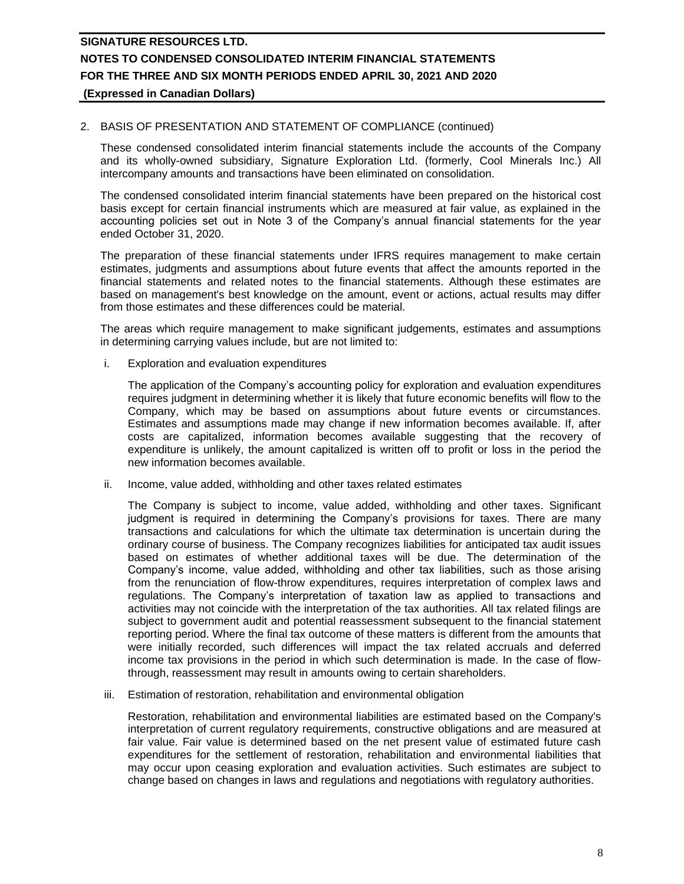## 2. BASIS OF PRESENTATION AND STATEMENT OF COMPLIANCE (continued)

These condensed consolidated interim financial statements include the accounts of the Company and its wholly-owned subsidiary, Signature Exploration Ltd. (formerly, Cool Minerals Inc.) All intercompany amounts and transactions have been eliminated on consolidation.

The condensed consolidated interim financial statements have been prepared on the historical cost basis except for certain financial instruments which are measured at fair value, as explained in the accounting policies set out in Note 3 of the Company's annual financial statements for the year ended October 31, 2020.

The preparation of these financial statements under IFRS requires management to make certain estimates, judgments and assumptions about future events that affect the amounts reported in the financial statements and related notes to the financial statements. Although these estimates are based on management's best knowledge on the amount, event or actions, actual results may differ from those estimates and these differences could be material.

The areas which require management to make significant judgements, estimates and assumptions in determining carrying values include, but are not limited to:

i. Exploration and evaluation expenditures

The application of the Company's accounting policy for exploration and evaluation expenditures requires judgment in determining whether it is likely that future economic benefits will flow to the Company, which may be based on assumptions about future events or circumstances. Estimates and assumptions made may change if new information becomes available. If, after costs are capitalized, information becomes available suggesting that the recovery of expenditure is unlikely, the amount capitalized is written off to profit or loss in the period the new information becomes available.

ii. Income, value added, withholding and other taxes related estimates

The Company is subject to income, value added, withholding and other taxes. Significant judgment is required in determining the Company's provisions for taxes. There are many transactions and calculations for which the ultimate tax determination is uncertain during the ordinary course of business. The Company recognizes liabilities for anticipated tax audit issues based on estimates of whether additional taxes will be due. The determination of the Company's income, value added, withholding and other tax liabilities, such as those arising from the renunciation of flow-throw expenditures, requires interpretation of complex laws and regulations. The Company's interpretation of taxation law as applied to transactions and activities may not coincide with the interpretation of the tax authorities. All tax related filings are subject to government audit and potential reassessment subsequent to the financial statement reporting period. Where the final tax outcome of these matters is different from the amounts that were initially recorded, such differences will impact the tax related accruals and deferred income tax provisions in the period in which such determination is made. In the case of flowthrough, reassessment may result in amounts owing to certain shareholders.

iii. Estimation of restoration, rehabilitation and environmental obligation

Restoration, rehabilitation and environmental liabilities are estimated based on the Company's interpretation of current regulatory requirements, constructive obligations and are measured at fair value. Fair value is determined based on the net present value of estimated future cash expenditures for the settlement of restoration, rehabilitation and environmental liabilities that may occur upon ceasing exploration and evaluation activities. Such estimates are subject to change based on changes in laws and regulations and negotiations with regulatory authorities.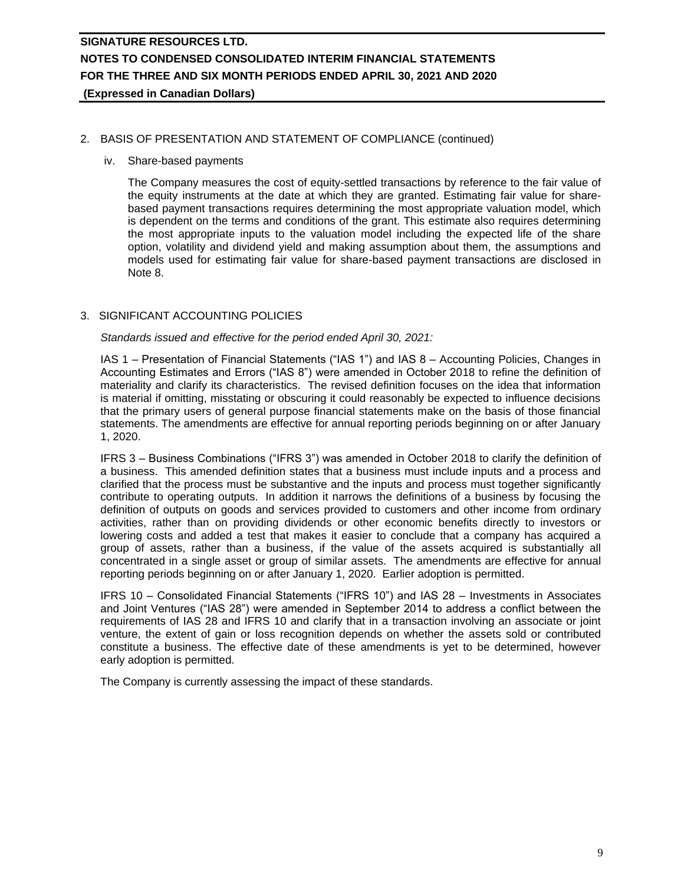## 2. BASIS OF PRESENTATION AND STATEMENT OF COMPLIANCE (continued)

#### iv. Share-based payments

The Company measures the cost of equity-settled transactions by reference to the fair value of the equity instruments at the date at which they are granted. Estimating fair value for sharebased payment transactions requires determining the most appropriate valuation model, which is dependent on the terms and conditions of the grant. This estimate also requires determining the most appropriate inputs to the valuation model including the expected life of the share option, volatility and dividend yield and making assumption about them, the assumptions and models used for estimating fair value for share-based payment transactions are disclosed in Note 8.

## 3. SIGNIFICANT ACCOUNTING POLICIES

*Standards issued and effective for the period ended April 30, 2021:*

IAS 1 – Presentation of Financial Statements ("IAS 1") and IAS 8 – Accounting Policies, Changes in Accounting Estimates and Errors ("IAS 8") were amended in October 2018 to refine the definition of materiality and clarify its characteristics. The revised definition focuses on the idea that information is material if omitting, misstating or obscuring it could reasonably be expected to influence decisions that the primary users of general purpose financial statements make on the basis of those financial statements. The amendments are effective for annual reporting periods beginning on or after January 1, 2020.

IFRS 3 – Business Combinations ("IFRS 3") was amended in October 2018 to clarify the definition of a business. This amended definition states that a business must include inputs and a process and clarified that the process must be substantive and the inputs and process must together significantly contribute to operating outputs. In addition it narrows the definitions of a business by focusing the definition of outputs on goods and services provided to customers and other income from ordinary activities, rather than on providing dividends or other economic benefits directly to investors or lowering costs and added a test that makes it easier to conclude that a company has acquired a group of assets, rather than a business, if the value of the assets acquired is substantially all concentrated in a single asset or group of similar assets. The amendments are effective for annual reporting periods beginning on or after January 1, 2020. Earlier adoption is permitted.

IFRS 10 – Consolidated Financial Statements ("IFRS 10") and IAS 28 – Investments in Associates and Joint Ventures ("IAS 28") were amended in September 2014 to address a conflict between the requirements of IAS 28 and IFRS 10 and clarify that in a transaction involving an associate or joint venture, the extent of gain or loss recognition depends on whether the assets sold or contributed constitute a business. The effective date of these amendments is yet to be determined, however early adoption is permitted.

The Company is currently assessing the impact of these standards.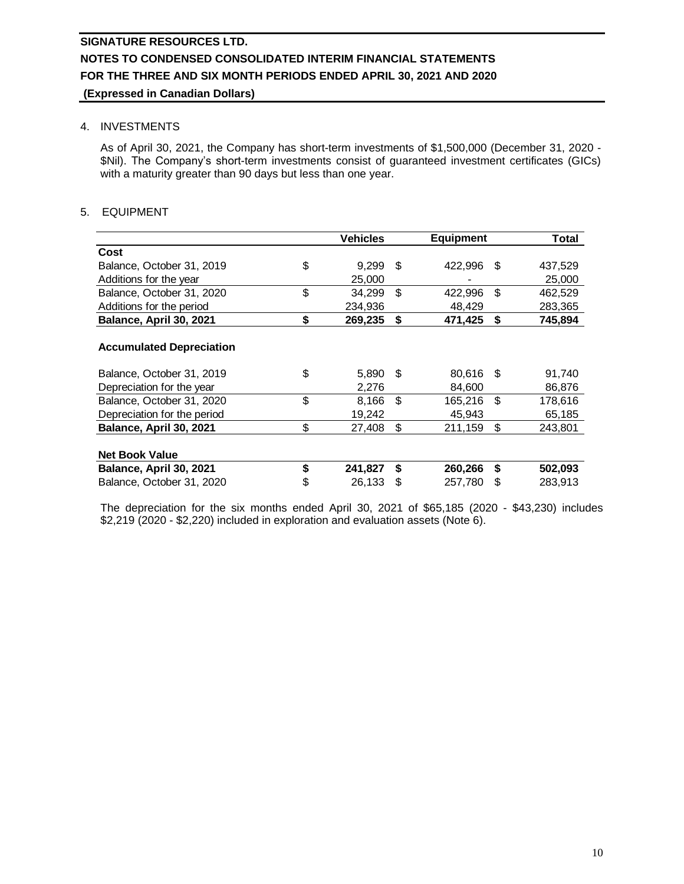### 4. INVESTMENTS

As of April 30, 2021, the Company has short-term investments of \$1,500,000 (December 31, 2020 - \$Nil). The Company's short-term investments consist of guaranteed investment certificates (GICs) with a maturity greater than 90 days but less than one year.

## 5. EQUIPMENT

|                                 | <b>Vehicles</b> |      | <b>Equipment</b> |      | Total   |
|---------------------------------|-----------------|------|------------------|------|---------|
| Cost                            |                 |      |                  |      |         |
| Balance, October 31, 2019       | \$<br>9,299     | - \$ | 422,996          | - \$ | 437,529 |
| Additions for the year          | 25,000          |      |                  |      | 25,000  |
| Balance, October 31, 2020       | \$<br>34,299    | \$   | 422,996          | \$   | 462,529 |
| Additions for the period        | 234,936         |      | 48,429           |      | 283,365 |
| Balance, April 30, 2021         | \$<br>269,235   | \$   | 471,425          | \$   | 745,894 |
|                                 |                 |      |                  |      |         |
| <b>Accumulated Depreciation</b> |                 |      |                  |      |         |
| Balance, October 31, 2019       | \$<br>5,890     | - \$ | 80,616           | - \$ | 91,740  |
| Depreciation for the year       | 2,276           |      | 84,600           |      | 86,876  |
| Balance, October 31, 2020       | \$<br>8,166     | \$   | 165,216          | -\$  | 178,616 |
| Depreciation for the period     | 19,242          |      | 45,943           |      | 65,185  |
| Balance, April 30, 2021         | \$<br>27,408    | \$   | 211,159          | \$   | 243,801 |
|                                 |                 |      |                  |      |         |
| <b>Net Book Value</b>           |                 |      |                  |      |         |
| Balance, April 30, 2021         | \$<br>241,827   | \$   | 260,266          | \$   | 502,093 |
| Balance, October 31, 2020       | \$<br>26,133    | \$   | 257,780          | \$   | 283,913 |

The depreciation for the six months ended April 30, 2021 of \$65,185 (2020 - \$43,230) includes \$2,219 (2020 - \$2,220) included in exploration and evaluation assets (Note 6).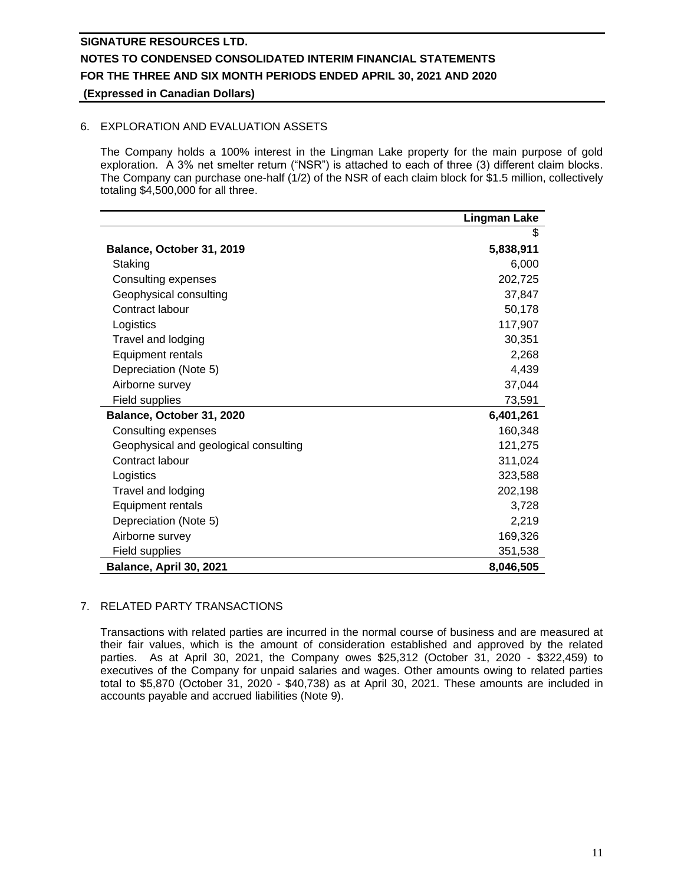## 6. EXPLORATION AND EVALUATION ASSETS

The Company holds a 100% interest in the Lingman Lake property for the main purpose of gold exploration. A 3% net smelter return ("NSR") is attached to each of three (3) different claim blocks. The Company can purchase one-half (1/2) of the NSR of each claim block for \$1.5 million, collectively totaling \$4,500,000 for all three.

|                                       | <b>Lingman Lake</b> |
|---------------------------------------|---------------------|
|                                       | \$                  |
| Balance, October 31, 2019             | 5,838,911           |
| Staking                               | 6,000               |
| Consulting expenses                   | 202,725             |
| Geophysical consulting                | 37,847              |
| Contract labour                       | 50,178              |
| Logistics                             | 117,907             |
| Travel and lodging                    | 30,351              |
| Equipment rentals                     | 2,268               |
| Depreciation (Note 5)                 | 4,439               |
| Airborne survey                       | 37,044              |
| Field supplies                        | 73,591              |
| Balance, October 31, 2020             | 6,401,261           |
| Consulting expenses                   | 160,348             |
| Geophysical and geological consulting | 121,275             |
| Contract labour                       | 311,024             |
| Logistics                             | 323,588             |
| Travel and lodging                    | 202,198             |
| Equipment rentals                     | 3,728               |
| Depreciation (Note 5)                 | 2,219               |
| Airborne survey                       | 169,326             |
| Field supplies                        | 351,538             |
| Balance, April 30, 2021               | 8,046,505           |

## 7. RELATED PARTY TRANSACTIONS

Transactions with related parties are incurred in the normal course of business and are measured at their fair values, which is the amount of consideration established and approved by the related parties. As at April 30, 2021, the Company owes \$25,312 (October 31, 2020 - \$322,459) to executives of the Company for unpaid salaries and wages. Other amounts owing to related parties total to \$5,870 (October 31, 2020 - \$40,738) as at April 30, 2021. These amounts are included in accounts payable and accrued liabilities (Note 9).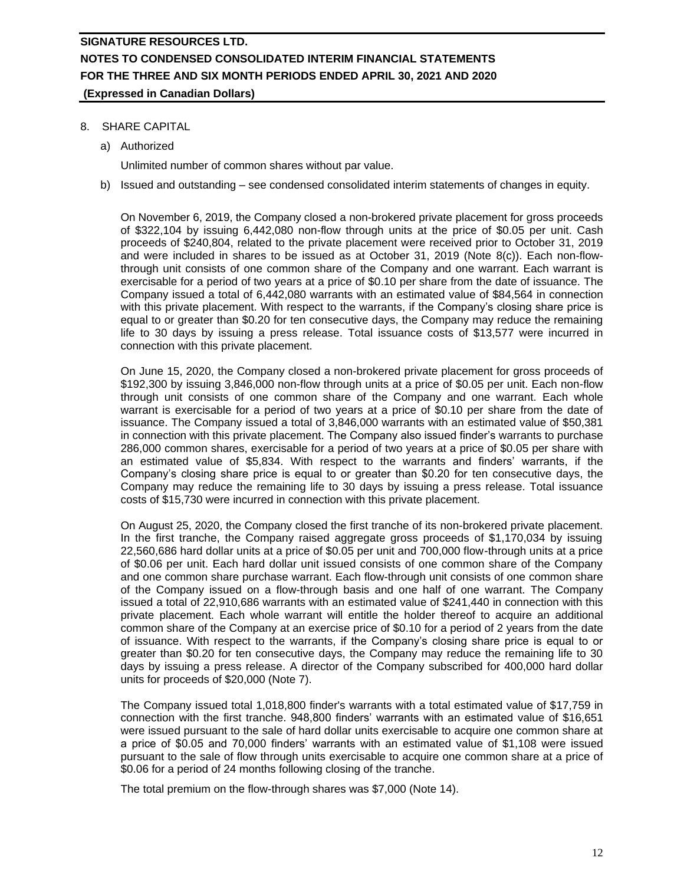## 8. SHARE CAPITAL

a) Authorized

Unlimited number of common shares without par value.

b) Issued and outstanding – see condensed consolidated interim statements of changes in equity.

On November 6, 2019, the Company closed a non-brokered private placement for gross proceeds of \$322,104 by issuing 6,442,080 non-flow through units at the price of \$0.05 per unit. Cash proceeds of \$240,804, related to the private placement were received prior to October 31, 2019 and were included in shares to be issued as at October 31, 2019 (Note 8(c)). Each non-flowthrough unit consists of one common share of the Company and one warrant. Each warrant is exercisable for a period of two years at a price of \$0.10 per share from the date of issuance. The Company issued a total of 6,442,080 warrants with an estimated value of \$84,564 in connection with this private placement. With respect to the warrants, if the Company's closing share price is equal to or greater than \$0.20 for ten consecutive days, the Company may reduce the remaining life to 30 days by issuing a press release. Total issuance costs of \$13,577 were incurred in connection with this private placement.

On June 15, 2020, the Company closed a non-brokered private placement for gross proceeds of \$192,300 by issuing 3,846,000 non-flow through units at a price of \$0.05 per unit. Each non-flow through unit consists of one common share of the Company and one warrant. Each whole warrant is exercisable for a period of two years at a price of \$0.10 per share from the date of issuance. The Company issued a total of 3,846,000 warrants with an estimated value of \$50,381 in connection with this private placement. The Company also issued finder's warrants to purchase 286,000 common shares, exercisable for a period of two years at a price of \$0.05 per share with an estimated value of \$5,834. With respect to the warrants and finders' warrants, if the Company's closing share price is equal to or greater than \$0.20 for ten consecutive days, the Company may reduce the remaining life to 30 days by issuing a press release. Total issuance costs of \$15,730 were incurred in connection with this private placement.

On August 25, 2020, the Company closed the first tranche of its non-brokered private placement. In the first tranche, the Company raised aggregate gross proceeds of \$1,170,034 by issuing 22,560,686 hard dollar units at a price of \$0.05 per unit and 700,000 flow-through units at a price of \$0.06 per unit. Each hard dollar unit issued consists of one common share of the Company and one common share purchase warrant. Each flow-through unit consists of one common share of the Company issued on a flow-through basis and one half of one warrant. The Company issued a total of 22,910,686 warrants with an estimated value of \$241,440 in connection with this private placement. Each whole warrant will entitle the holder thereof to acquire an additional common share of the Company at an exercise price of \$0.10 for a period of 2 years from the date of issuance. With respect to the warrants, if the Company's closing share price is equal to or greater than \$0.20 for ten consecutive days, the Company may reduce the remaining life to 30 days by issuing a press release. A director of the Company subscribed for 400,000 hard dollar units for proceeds of \$20,000 (Note 7).

The Company issued total 1,018,800 finder's warrants with a total estimated value of \$17,759 in connection with the first tranche. 948,800 finders' warrants with an estimated value of \$16,651 were issued pursuant to the sale of hard dollar units exercisable to acquire one common share at a price of \$0.05 and 70,000 finders' warrants with an estimated value of \$1,108 were issued pursuant to the sale of flow through units exercisable to acquire one common share at a price of \$0.06 for a period of 24 months following closing of the tranche.

The total premium on the flow-through shares was \$7,000 (Note 14).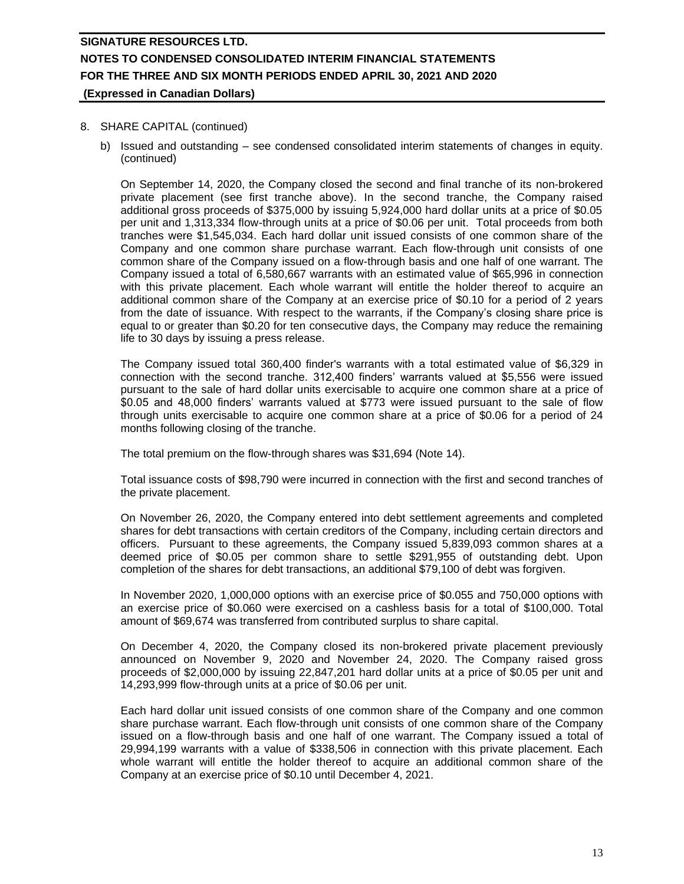### 8. SHARE CAPITAL (continued)

b) Issued and outstanding – see condensed consolidated interim statements of changes in equity. (continued)

On September 14, 2020, the Company closed the second and final tranche of its non-brokered private placement (see first tranche above). In the second tranche, the Company raised additional gross proceeds of \$375,000 by issuing 5,924,000 hard dollar units at a price of \$0.05 per unit and 1,313,334 flow-through units at a price of \$0.06 per unit. Total proceeds from both tranches were \$1,545,034. Each hard dollar unit issued consists of one common share of the Company and one common share purchase warrant. Each flow-through unit consists of one common share of the Company issued on a flow-through basis and one half of one warrant. The Company issued a total of 6,580,667 warrants with an estimated value of \$65,996 in connection with this private placement. Each whole warrant will entitle the holder thereof to acquire an additional common share of the Company at an exercise price of \$0.10 for a period of 2 years from the date of issuance. With respect to the warrants, if the Company's closing share price is equal to or greater than \$0.20 for ten consecutive days, the Company may reduce the remaining life to 30 days by issuing a press release.

The Company issued total 360,400 finder's warrants with a total estimated value of \$6,329 in connection with the second tranche. 312,400 finders' warrants valued at \$5,556 were issued pursuant to the sale of hard dollar units exercisable to acquire one common share at a price of \$0.05 and 48,000 finders' warrants valued at \$773 were issued pursuant to the sale of flow through units exercisable to acquire one common share at a price of \$0.06 for a period of 24 months following closing of the tranche.

The total premium on the flow-through shares was \$31,694 (Note 14).

Total issuance costs of \$98,790 were incurred in connection with the first and second tranches of the private placement.

On November 26, 2020, the Company entered into debt settlement agreements and completed shares for debt transactions with certain creditors of the Company, including certain directors and officers. Pursuant to these agreements, the Company issued 5,839,093 common shares at a deemed price of \$0.05 per common share to settle \$291,955 of outstanding debt. Upon completion of the shares for debt transactions, an additional \$79,100 of debt was forgiven.

In November 2020, 1,000,000 options with an exercise price of \$0.055 and 750,000 options with an exercise price of \$0.060 were exercised on a cashless basis for a total of \$100,000. Total amount of \$69,674 was transferred from contributed surplus to share capital.

On December 4, 2020, the Company closed its non-brokered private placement previously announced on November 9, 2020 and November 24, 2020. The Company raised gross proceeds of \$2,000,000 by issuing 22,847,201 hard dollar units at a price of \$0.05 per unit and 14,293,999 flow-through units at a price of \$0.06 per unit.

Each hard dollar unit issued consists of one common share of the Company and one common share purchase warrant. Each flow-through unit consists of one common share of the Company issued on a flow-through basis and one half of one warrant. The Company issued a total of 29,994,199 warrants with a value of \$338,506 in connection with this private placement. Each whole warrant will entitle the holder thereof to acquire an additional common share of the Company at an exercise price of \$0.10 until December 4, 2021.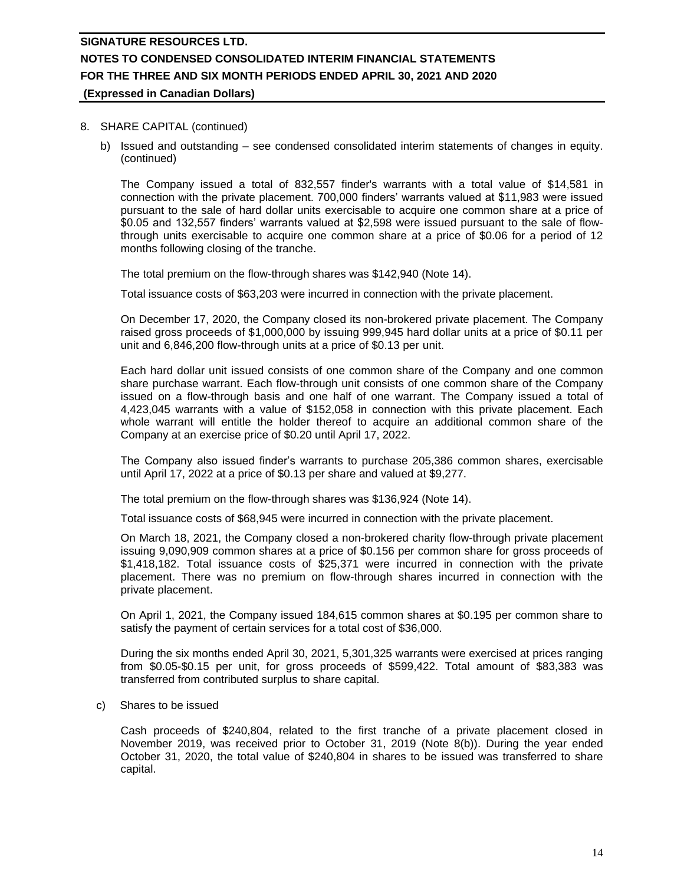#### 8. SHARE CAPITAL (continued)

b) Issued and outstanding – see condensed consolidated interim statements of changes in equity. (continued)

The Company issued a total of 832,557 finder's warrants with a total value of \$14,581 in connection with the private placement. 700,000 finders' warrants valued at \$11,983 were issued pursuant to the sale of hard dollar units exercisable to acquire one common share at a price of \$0.05 and 132,557 finders' warrants valued at \$2,598 were issued pursuant to the sale of flowthrough units exercisable to acquire one common share at a price of \$0.06 for a period of 12 months following closing of the tranche.

The total premium on the flow-through shares was \$142,940 (Note 14).

Total issuance costs of \$63,203 were incurred in connection with the private placement.

On December 17, 2020, the Company closed its non-brokered private placement. The Company raised gross proceeds of \$1,000,000 by issuing 999,945 hard dollar units at a price of \$0.11 per unit and 6,846,200 flow-through units at a price of \$0.13 per unit.

Each hard dollar unit issued consists of one common share of the Company and one common share purchase warrant. Each flow-through unit consists of one common share of the Company issued on a flow-through basis and one half of one warrant. The Company issued a total of 4,423,045 warrants with a value of \$152,058 in connection with this private placement. Each whole warrant will entitle the holder thereof to acquire an additional common share of the Company at an exercise price of \$0.20 until April 17, 2022.

The Company also issued finder's warrants to purchase 205,386 common shares, exercisable until April 17, 2022 at a price of \$0.13 per share and valued at \$9,277.

The total premium on the flow-through shares was \$136,924 (Note 14).

Total issuance costs of \$68,945 were incurred in connection with the private placement.

On March 18, 2021, the Company closed a non-brokered charity flow-through private placement issuing 9,090,909 common shares at a price of \$0.156 per common share for gross proceeds of \$1,418,182. Total issuance costs of \$25,371 were incurred in connection with the private placement. There was no premium on flow-through shares incurred in connection with the private placement.

On April 1, 2021, the Company issued 184,615 common shares at \$0.195 per common share to satisfy the payment of certain services for a total cost of \$36,000.

During the six months ended April 30, 2021, 5,301,325 warrants were exercised at prices ranging from \$0.05-\$0.15 per unit, for gross proceeds of \$599,422. Total amount of \$83,383 was transferred from contributed surplus to share capital.

c) Shares to be issued

Cash proceeds of \$240,804, related to the first tranche of a private placement closed in November 2019, was received prior to October 31, 2019 (Note 8(b)). During the year ended October 31, 2020, the total value of \$240,804 in shares to be issued was transferred to share capital.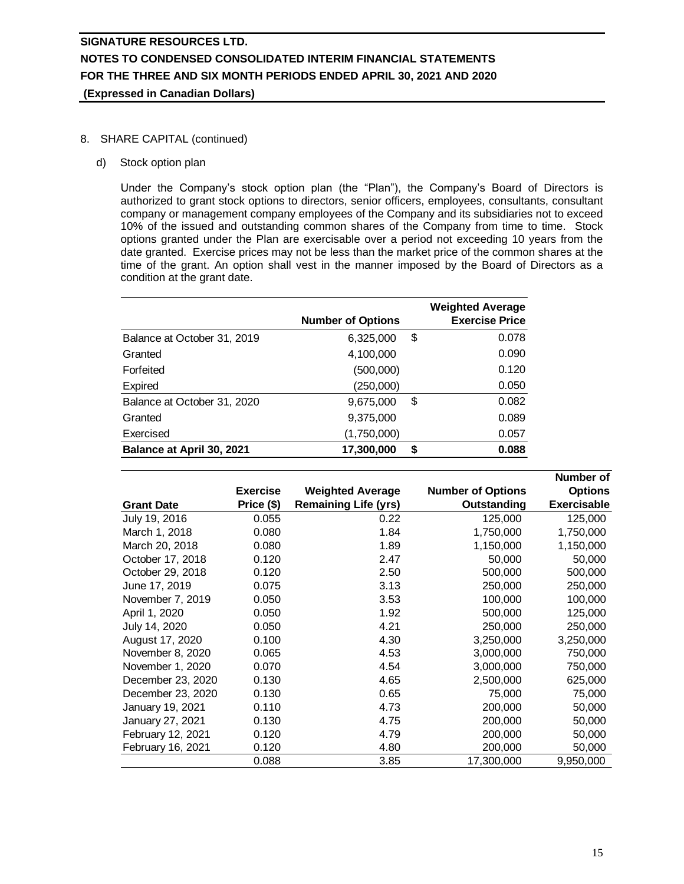## 8. SHARE CAPITAL (continued)

d) Stock option plan

Under the Company's stock option plan (the "Plan"), the Company's Board of Directors is authorized to grant stock options to directors, senior officers, employees, consultants, consultant company or management company employees of the Company and its subsidiaries not to exceed 10% of the issued and outstanding common shares of the Company from time to time. Stock options granted under the Plan are exercisable over a period not exceeding 10 years from the date granted. Exercise prices may not be less than the market price of the common shares at the time of the grant. An option shall vest in the manner imposed by the Board of Directors as a condition at the grant date.

|                             | <b>Number of Options</b> | <b>Weighted Average</b><br><b>Exercise Price</b> |
|-----------------------------|--------------------------|--------------------------------------------------|
| Balance at October 31, 2019 | 6,325,000                | \$<br>0.078                                      |
| Granted                     | 4,100,000                | 0.090                                            |
| Forfeited                   | (500,000)                | 0.120                                            |
| Expired                     | (250,000)                | 0.050                                            |
| Balance at October 31, 2020 | 9,675,000                | 0.082<br>S                                       |
| Granted                     | 9,375,000                | 0.089                                            |
| Exercised                   | (1,750,000)              | 0.057                                            |
| Balance at April 30, 2021   | 17,300,000               | 0.088<br>S                                       |

|                   |                 |                             |                          | Number of          |
|-------------------|-----------------|-----------------------------|--------------------------|--------------------|
|                   | <b>Exercise</b> | <b>Weighted Average</b>     | <b>Number of Options</b> | <b>Options</b>     |
| <b>Grant Date</b> | Price (\$)      | <b>Remaining Life (yrs)</b> | Outstanding              | <b>Exercisable</b> |
| July 19, 2016     | 0.055           | 0.22                        | 125,000                  | 125,000            |
| March 1, 2018     | 0.080           | 1.84                        | 1,750,000                | 1,750,000          |
| March 20, 2018    | 0.080           | 1.89                        | 1,150,000                | 1,150,000          |
| October 17, 2018  | 0.120           | 2.47                        | 50,000                   | 50,000             |
| October 29, 2018  | 0.120           | 2.50                        | 500,000                  | 500,000            |
| June 17, 2019     | 0.075           | 3.13                        | 250,000                  | 250,000            |
| November 7, 2019  | 0.050           | 3.53                        | 100,000                  | 100,000            |
| April 1, 2020     | 0.050           | 1.92                        | 500,000                  | 125,000            |
| July 14, 2020     | 0.050           | 4.21                        | 250,000                  | 250,000            |
| August 17, 2020   | 0.100           | 4.30                        | 3,250,000                | 3,250,000          |
| November 8, 2020  | 0.065           | 4.53                        | 3,000,000                | 750,000            |
| November 1, 2020  | 0.070           | 4.54                        | 3,000,000                | 750,000            |
| December 23, 2020 | 0.130           | 4.65                        | 2,500,000                | 625,000            |
| December 23, 2020 | 0.130           | 0.65                        | 75,000                   | 75,000             |
| January 19, 2021  | 0.110           | 4.73                        | 200,000                  | 50,000             |
| January 27, 2021  | 0.130           | 4.75                        | 200,000                  | 50,000             |
| February 12, 2021 | 0.120           | 4.79                        | 200,000                  | 50,000             |
| February 16, 2021 | 0.120           | 4.80                        | 200,000                  | 50,000             |
|                   | 0.088           | 3.85                        | 17,300,000               | 9,950,000          |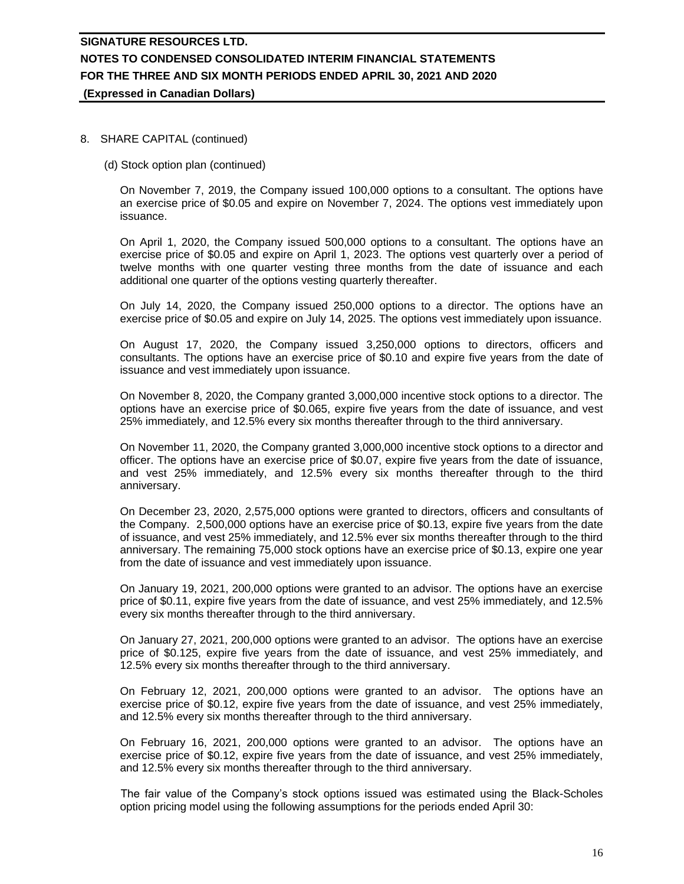### 8. SHARE CAPITAL (continued)

(d) Stock option plan (continued)

On November 7, 2019, the Company issued 100,000 options to a consultant. The options have an exercise price of \$0.05 and expire on November 7, 2024. The options vest immediately upon issuance.

On April 1, 2020, the Company issued 500,000 options to a consultant. The options have an exercise price of \$0.05 and expire on April 1, 2023. The options vest quarterly over a period of twelve months with one quarter vesting three months from the date of issuance and each additional one quarter of the options vesting quarterly thereafter.

On July 14, 2020, the Company issued 250,000 options to a director. The options have an exercise price of \$0.05 and expire on July 14, 2025. The options vest immediately upon issuance.

On August 17, 2020, the Company issued 3,250,000 options to directors, officers and consultants. The options have an exercise price of \$0.10 and expire five years from the date of issuance and vest immediately upon issuance.

On November 8, 2020, the Company granted 3,000,000 incentive stock options to a director. The options have an exercise price of \$0.065, expire five years from the date of issuance, and vest 25% immediately, and 12.5% every six months thereafter through to the third anniversary.

On November 11, 2020, the Company granted 3,000,000 incentive stock options to a director and officer. The options have an exercise price of \$0.07, expire five years from the date of issuance, and vest 25% immediately, and 12.5% every six months thereafter through to the third anniversary.

On December 23, 2020, 2,575,000 options were granted to directors, officers and consultants of the Company. 2,500,000 options have an exercise price of \$0.13, expire five years from the date of issuance, and vest 25% immediately, and 12.5% ever six months thereafter through to the third anniversary. The remaining 75,000 stock options have an exercise price of \$0.13, expire one year from the date of issuance and vest immediately upon issuance.

On January 19, 2021, 200,000 options were granted to an advisor. The options have an exercise price of \$0.11, expire five years from the date of issuance, and vest 25% immediately, and 12.5% every six months thereafter through to the third anniversary.

On January 27, 2021, 200,000 options were granted to an advisor. The options have an exercise price of \$0.125, expire five years from the date of issuance, and vest 25% immediately, and 12.5% every six months thereafter through to the third anniversary.

On February 12, 2021, 200,000 options were granted to an advisor. The options have an exercise price of \$0.12, expire five years from the date of issuance, and vest 25% immediately, and 12.5% every six months thereafter through to the third anniversary.

On February 16, 2021, 200,000 options were granted to an advisor. The options have an exercise price of \$0.12, expire five years from the date of issuance, and vest 25% immediately, and 12.5% every six months thereafter through to the third anniversary.

The fair value of the Company's stock options issued was estimated using the Black-Scholes option pricing model using the following assumptions for the periods ended April 30: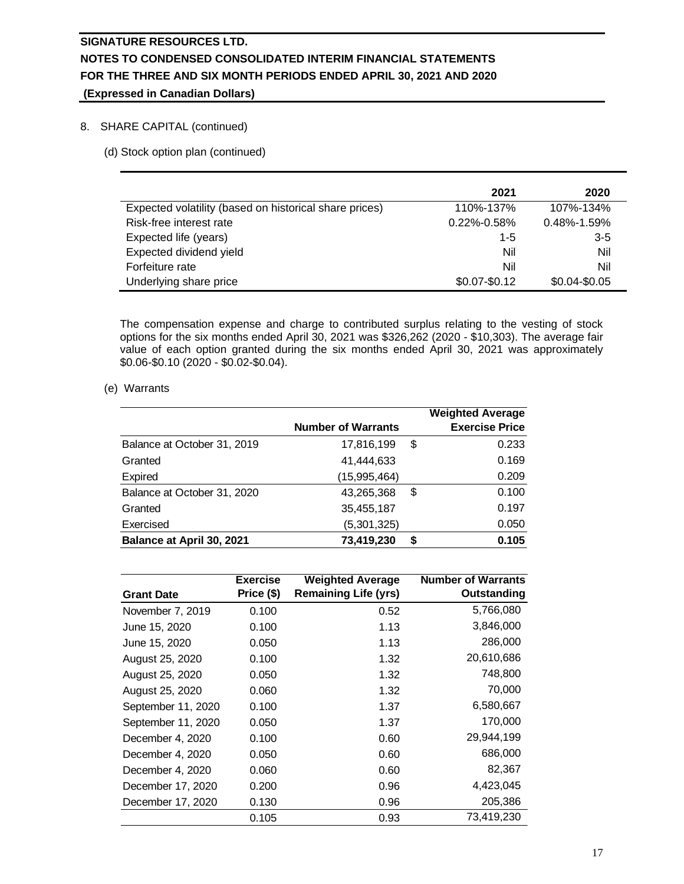## 8. SHARE CAPITAL (continued)

(d) Stock option plan (continued)

|                                                        | 2021              | 2020              |
|--------------------------------------------------------|-------------------|-------------------|
| Expected volatility (based on historical share prices) | 110%-137%         | 107%-134%         |
| Risk-free interest rate                                | $0.22\% - 0.58\%$ | $0.48\% - 1.59\%$ |
| Expected life (years)                                  | $1 - 5$           | $3-5$             |
| Expected dividend yield                                | Nil               | Nil               |
| Forfeiture rate                                        | Nil               | Nil               |
| Underlying share price                                 | $$0.07 - $0.12$   | \$0.04-\$0.05     |

The compensation expense and charge to contributed surplus relating to the vesting of stock options for the six months ended April 30, 2021 was \$326,262 (2020 - \$10,303). The average fair value of each option granted during the six months ended April 30, 2021 was approximately \$0.06-\$0.10 (2020 - \$0.02-\$0.04).

(e) Warrants

|                             | <b>Number of Warrants</b> |    | <b>Weighted Average</b><br><b>Exercise Price</b> |
|-----------------------------|---------------------------|----|--------------------------------------------------|
| Balance at October 31, 2019 | 17,816,199                | \$ | 0.233                                            |
| Granted                     | 41,444,633                |    | 0.169                                            |
| Expired                     | (15,995,464)              |    | 0.209                                            |
| Balance at October 31, 2020 | 43,265,368                | \$ | 0.100                                            |
| Granted                     | 35,455,187                |    | 0.197                                            |
| Exercised                   | (5,301,325)               |    | 0.050                                            |
| Balance at April 30, 2021   | 73,419,230                | S  | 0.105                                            |

|                    | <b>Exercise</b> | <b>Weighted Average</b>     | <b>Number of Warrants</b> |
|--------------------|-----------------|-----------------------------|---------------------------|
| <b>Grant Date</b>  | Price (\$)      | <b>Remaining Life (yrs)</b> | Outstanding               |
| November 7, 2019   | 0.100           | 0.52                        | 5,766,080                 |
| June 15, 2020      | 0.100           | 1.13                        | 3,846,000                 |
| June 15, 2020      | 0.050           | 1.13                        | 286,000                   |
| August 25, 2020    | 0.100           | 1.32                        | 20,610,686                |
| August 25, 2020    | 0.050           | 1.32                        | 748,800                   |
| August 25, 2020    | 0.060           | 1.32                        | 70,000                    |
| September 11, 2020 | 0.100           | 1.37                        | 6,580,667                 |
| September 11, 2020 | 0.050           | 1.37                        | 170,000                   |
| December 4, 2020   | 0.100           | 0.60                        | 29,944,199                |
| December 4, 2020   | 0.050           | 0.60                        | 686,000                   |
| December 4, 2020   | 0.060           | 0.60                        | 82,367                    |
| December 17, 2020  | 0.200           | 0.96                        | 4,423,045                 |
| December 17, 2020  | 0.130           | 0.96                        | 205,386                   |
|                    | 0.105           | 0.93                        | 73,419,230                |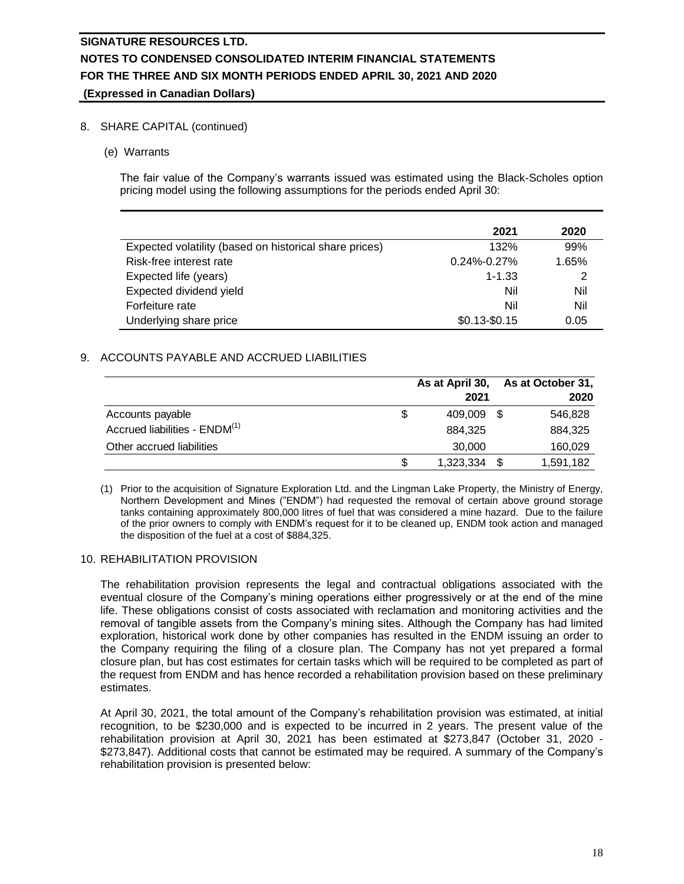## 8. SHARE CAPITAL (continued)

(e) Warrants

The fair value of the Company's warrants issued was estimated using the Black-Scholes option pricing model using the following assumptions for the periods ended April 30:

|                                                        | 2021              | 2020  |
|--------------------------------------------------------|-------------------|-------|
| Expected volatility (based on historical share prices) | 132%              | 99%   |
| Risk-free interest rate                                | $0.24\% - 0.27\%$ | 1.65% |
| Expected life (years)                                  | $1 - 1.33$        | 2     |
| Expected dividend yield                                | Nil               | Nil   |
| Forfeiture rate                                        | Nil               | Nil   |
| Underlying share price                                 | $$0.13 - $0.15$   | 0.05  |

## 9. ACCOUNTS PAYABLE AND ACCRUED LIABILITIES

|                                           |   | As at April 30, | As at October 31, |
|-------------------------------------------|---|-----------------|-------------------|
|                                           |   | 2021            | 2020              |
| Accounts payable                          | S | 409.009 \$      | 546,828           |
| Accrued liabilities - ENDM <sup>(1)</sup> |   | 884.325         | 884,325           |
| Other accrued liabilities                 |   | 30,000          | 160,029           |
|                                           | S | 1,323,334       | 1,591,182         |

(1) Prior to the acquisition of Signature Exploration Ltd. and the Lingman Lake Property, the Ministry of Energy, Northern Development and Mines ("ENDM") had requested the removal of certain above ground storage tanks containing approximately 800,000 litres of fuel that was considered a mine hazard. Due to the failure of the prior owners to comply with ENDM's request for it to be cleaned up, ENDM took action and managed the disposition of the fuel at a cost of \$884,325.

### 10. REHABILITATION PROVISION

The rehabilitation provision represents the legal and contractual obligations associated with the eventual closure of the Company's mining operations either progressively or at the end of the mine life. These obligations consist of costs associated with reclamation and monitoring activities and the removal of tangible assets from the Company's mining sites. Although the Company has had limited exploration, historical work done by other companies has resulted in the ENDM issuing an order to the Company requiring the filing of a closure plan. The Company has not yet prepared a formal closure plan, but has cost estimates for certain tasks which will be required to be completed as part of the request from ENDM and has hence recorded a rehabilitation provision based on these preliminary estimates.

At April 30, 2021, the total amount of the Company's rehabilitation provision was estimated, at initial recognition, to be \$230,000 and is expected to be incurred in 2 years. The present value of the rehabilitation provision at April 30, 2021 has been estimated at \$273,847 (October 31, 2020 - \$273,847). Additional costs that cannot be estimated may be required. A summary of the Company's rehabilitation provision is presented below: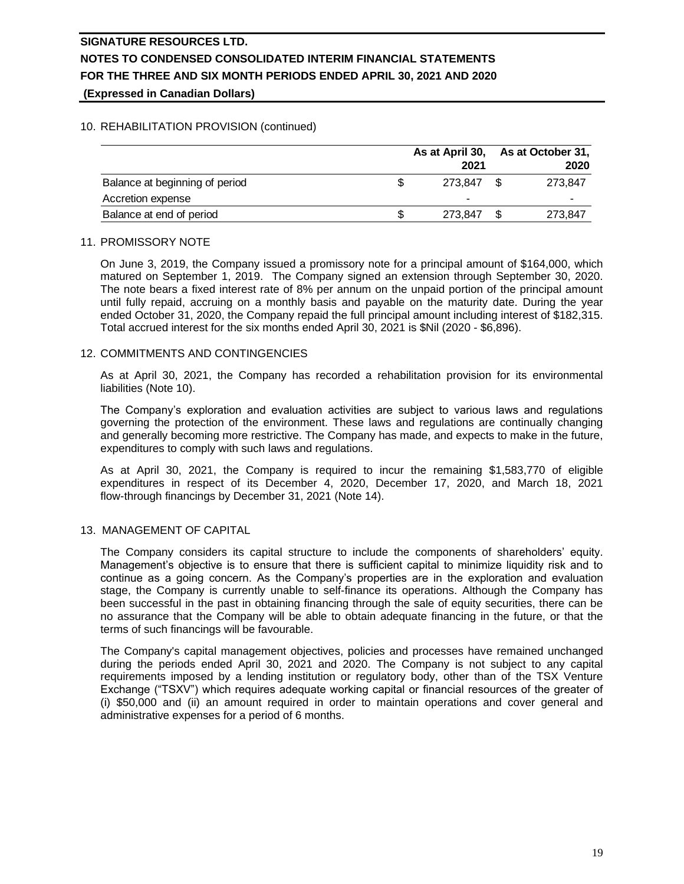## 10. REHABILITATION PROVISION (continued)

|                                | As at April 30, | As at October 31,<br>2020 |         |
|--------------------------------|-----------------|---------------------------|---------|
| Balance at beginning of period |                 | 273.847                   | 273.847 |
| Accretion expense              |                 | -                         | -       |
| Balance at end of period       |                 | 273.847                   | 273,847 |

### 11. PROMISSORY NOTE

On June 3, 2019, the Company issued a promissory note for a principal amount of \$164,000, which matured on September 1, 2019. The Company signed an extension through September 30, 2020. The note bears a fixed interest rate of 8% per annum on the unpaid portion of the principal amount until fully repaid, accruing on a monthly basis and payable on the maturity date. During the year ended October 31, 2020, the Company repaid the full principal amount including interest of \$182,315. Total accrued interest for the six months ended April 30, 2021 is \$Nil (2020 - \$6,896).

## 12. COMMITMENTS AND CONTINGENCIES

As at April 30, 2021, the Company has recorded a rehabilitation provision for its environmental liabilities (Note 10).

The Company's exploration and evaluation activities are subject to various laws and regulations governing the protection of the environment. These laws and regulations are continually changing and generally becoming more restrictive. The Company has made, and expects to make in the future, expenditures to comply with such laws and regulations.

As at April 30, 2021, the Company is required to incur the remaining \$1,583,770 of eligible expenditures in respect of its December 4, 2020, December 17, 2020, and March 18, 2021 flow-through financings by December 31, 2021 (Note 14).

## 13. MANAGEMENT OF CAPITAL

The Company considers its capital structure to include the components of shareholders' equity. Management's objective is to ensure that there is sufficient capital to minimize liquidity risk and to continue as a going concern. As the Company's properties are in the exploration and evaluation stage, the Company is currently unable to self-finance its operations. Although the Company has been successful in the past in obtaining financing through the sale of equity securities, there can be no assurance that the Company will be able to obtain adequate financing in the future, or that the terms of such financings will be favourable.

The Company's capital management objectives, policies and processes have remained unchanged during the periods ended April 30, 2021 and 2020. The Company is not subject to any capital requirements imposed by a lending institution or regulatory body, other than of the TSX Venture Exchange ("TSXV") which requires adequate working capital or financial resources of the greater of (i) \$50,000 and (ii) an amount required in order to maintain operations and cover general and administrative expenses for a period of 6 months.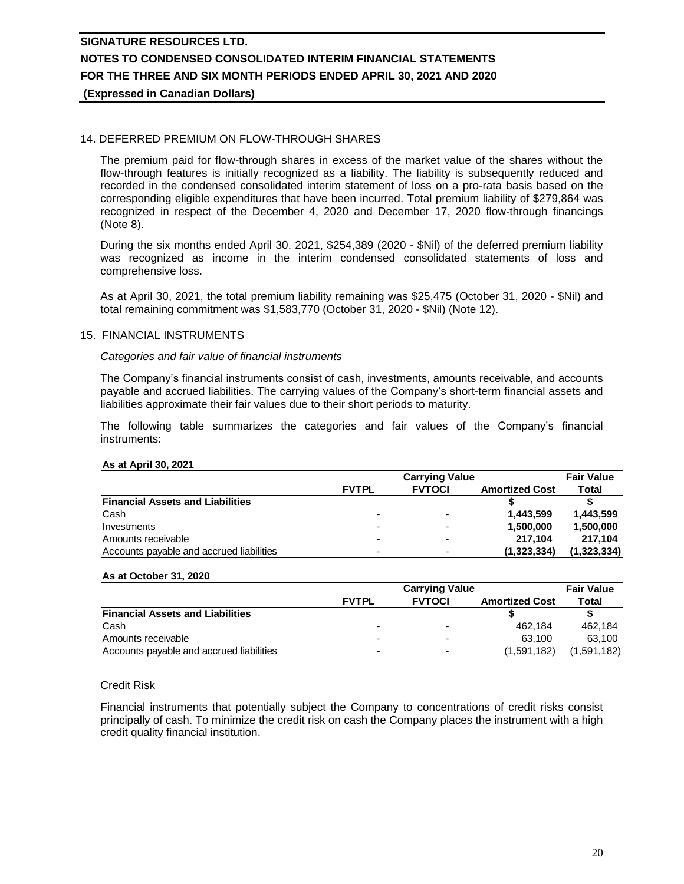## 14. DEFERRED PREMIUM ON FLOW-THROUGH SHARES

The premium paid for flow-through shares in excess of the market value of the shares without the flow-through features is initially recognized as a liability. The liability is subsequently reduced and recorded in the condensed consolidated interim statement of loss on a pro-rata basis based on the corresponding eligible expenditures that have been incurred. Total premium liability of \$279,864 was recognized in respect of the December 4, 2020 and December 17, 2020 flow-through financings (Note 8).

During the six months ended April 30, 2021, \$254,389 (2020 - \$Nil) of the deferred premium liability was recognized as income in the interim condensed consolidated statements of loss and comprehensive loss.

As at April 30, 2021, the total premium liability remaining was \$25,475 (October 31, 2020 - \$Nil) and total remaining commitment was \$1,583,770 (October 31, 2020 - \$Nil) (Note 12).

### 15. FINANCIAL INSTRUMENTS

#### *Categories and fair value of financial instruments*

The Company's financial instruments consist of cash, investments, amounts receivable, and accounts payable and accrued liabilities. The carrying values of the Company's short-term financial assets and liabilities approximate their fair values due to their short periods to maturity.

The following table summarizes the categories and fair values of the Company's financial instruments:

#### **As at April 30, 2021**

|                                          | <b>Carrying Value</b> |                          |                       | <b>Fair Value</b> |  |
|------------------------------------------|-----------------------|--------------------------|-----------------------|-------------------|--|
|                                          | <b>FVTPL</b>          | <b>FVTOCI</b>            | <b>Amortized Cost</b> | Total             |  |
| <b>Financial Assets and Liabilities</b>  |                       |                          |                       |                   |  |
| Cash                                     | -                     | $\overline{\phantom{0}}$ | 1.443.599             | 1.443.599         |  |
| Investments                              |                       |                          | 1.500.000             | 1.500.000         |  |
| Amounts receivable                       |                       |                          | 217.104               | 217.104           |  |
| Accounts payable and accrued liabilities |                       | $\overline{\phantom{0}}$ | (1,323,334)           | (1,323,334)       |  |

#### **As at October 31, 2020**

|                                          |              | <b>Carrying Value</b> |                       |            |
|------------------------------------------|--------------|-----------------------|-----------------------|------------|
|                                          | <b>FVTPL</b> | <b>FVTOCI</b>         | <b>Amortized Cost</b> | Total      |
| <b>Financial Assets and Liabilities</b>  |              |                       |                       |            |
| Cash                                     | -            | -                     | 462.184               | 462.184    |
| Amounts receivable                       |              | -                     | 63.100                | 63.100     |
| Accounts payable and accrued liabilities | -            | -                     | (1.591.182)           | ',591,182) |

### Credit Risk

Financial instruments that potentially subject the Company to concentrations of credit risks consist principally of cash. To minimize the credit risk on cash the Company places the instrument with a high credit quality financial institution.